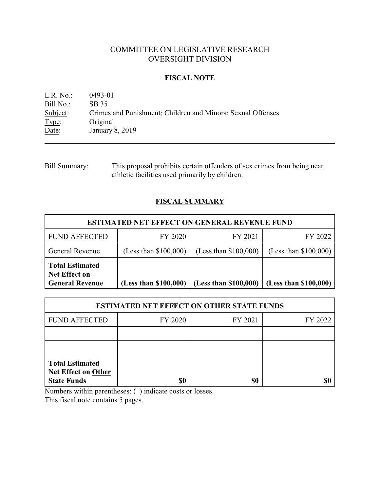# COMMITTEE ON LEGISLATIVE RESEARCH OVERSIGHT DIVISION

### **FISCAL NOTE**

L.R. No.: 0493-01 Bill No.: SB 35<br>Subject: Crimes Crimes and Punishment; Children and Minors; Sexual Offenses Type: Original Date: January 8, 2019

Bill Summary: This proposal prohibits certain offenders of sex crimes from being near athletic facilities used primarily by children.

# **FISCAL SUMMARY**

| <b>ESTIMATED NET EFFECT ON GENERAL REVENUE FUND</b>                      |                         |                         |                         |  |
|--------------------------------------------------------------------------|-------------------------|-------------------------|-------------------------|--|
| <b>FUND AFFECTED</b>                                                     | FY 2020                 | FY 2021                 | FY 2022                 |  |
| <b>General Revenue</b>                                                   | (Less than $$100,000$ ) | (Less than $$100,000$ ) | (Less than $$100,000$ ) |  |
| <b>Total Estimated</b><br><b>Net Effect on</b><br><b>General Revenue</b> | (Less than \$100,000)   | (Less than \$100,000)   | (Less than \$100,000)   |  |

| <b>ESTIMATED NET EFFECT ON OTHER STATE FUNDS</b>                           |         |         |         |  |
|----------------------------------------------------------------------------|---------|---------|---------|--|
| <b>FUND AFFECTED</b>                                                       | FY 2020 | FY 2021 | FY 2022 |  |
|                                                                            |         |         |         |  |
|                                                                            |         |         |         |  |
| <b>Total Estimated</b><br><b>Net Effect on Other</b><br><b>State Funds</b> | \$0     | \$0     |         |  |

Numbers within parentheses: ( ) indicate costs or losses.

This fiscal note contains 5 pages.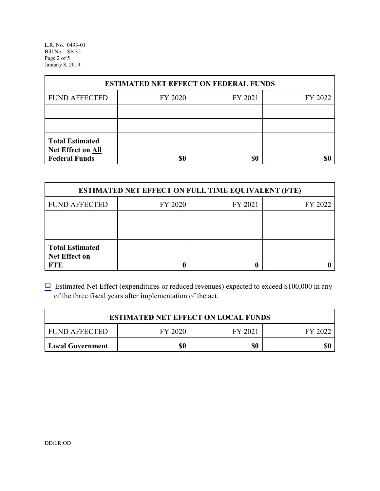L.R. No. 0493-01 Bill No. SB 35 Page 2 of 5 January 8, 2019

| <b>ESTIMATED NET EFFECT ON FEDERAL FUNDS</b>                        |         |         |         |  |
|---------------------------------------------------------------------|---------|---------|---------|--|
| <b>FUND AFFECTED</b>                                                | FY 2020 | FY 2021 | FY 2022 |  |
|                                                                     |         |         |         |  |
|                                                                     |         |         |         |  |
| <b>Total Estimated</b><br>Net Effect on All<br><b>Federal Funds</b> | \$0     | \$0     | \$C     |  |

| <b>ESTIMATED NET EFFECT ON FULL TIME EQUIVALENT (FTE)</b>    |         |         |         |  |
|--------------------------------------------------------------|---------|---------|---------|--|
| <b>FUND AFFECTED</b>                                         | FY 2020 | FY 2021 | FY 2022 |  |
|                                                              |         |         |         |  |
|                                                              |         |         |         |  |
| <b>Total Estimated</b><br><b>Net Effect on</b><br><b>FTE</b> |         |         |         |  |

 $\Box$  Estimated Net Effect (expenditures or reduced revenues) expected to exceed \$100,000 in any of the three fiscal years after implementation of the act.

| <b>ESTIMATED NET EFFECT ON LOCAL FUNDS</b> |         |         |         |
|--------------------------------------------|---------|---------|---------|
| FUND AFFECTED                              | FY 2020 | FY 2021 | FY 2022 |
| Local Government                           | 80      | \$0     | \$0     |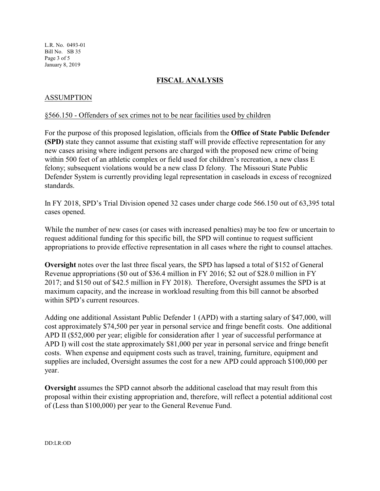L.R. No. 0493-01 Bill No. SB 35 Page 3 of 5 January 8, 2019

# **FISCAL ANALYSIS**

## ASSUMPTION

#### §566.150 - Offenders of sex crimes not to be near facilities used by children

For the purpose of this proposed legislation, officials from the **Office of State Public Defender (SPD)** state they cannot assume that existing staff will provide effective representation for any new cases arising where indigent persons are charged with the proposed new crime of being within 500 feet of an athletic complex or field used for children's recreation, a new class E felony; subsequent violations would be a new class D felony. The Missouri State Public Defender System is currently providing legal representation in caseloads in excess of recognized standards.

In FY 2018, SPD's Trial Division opened 32 cases under charge code 566.150 out of 63,395 total cases opened.

While the number of new cases (or cases with increased penalties) may be too few or uncertain to request additional funding for this specific bill, the SPD will continue to request sufficient appropriations to provide effective representation in all cases where the right to counsel attaches.

**Oversight** notes over the last three fiscal years, the SPD has lapsed a total of \$152 of General Revenue appropriations (\$0 out of \$36.4 million in FY 2016; \$2 out of \$28.0 million in FY 2017; and \$150 out of \$42.5 million in FY 2018). Therefore, Oversight assumes the SPD is at maximum capacity, and the increase in workload resulting from this bill cannot be absorbed within SPD's current resources.

Adding one additional Assistant Public Defender 1 (APD) with a starting salary of \$47,000, will cost approximately \$74,500 per year in personal service and fringe benefit costs. One additional APD II (\$52,000 per year; eligible for consideration after 1 year of successful performance at APD I) will cost the state approximately \$81,000 per year in personal service and fringe benefit costs. When expense and equipment costs such as travel, training, furniture, equipment and supplies are included, Oversight assumes the cost for a new APD could approach \$100,000 per year.

**Oversight** assumes the SPD cannot absorb the additional caseload that may result from this proposal within their existing appropriation and, therefore, will reflect a potential additional cost of (Less than \$100,000) per year to the General Revenue Fund.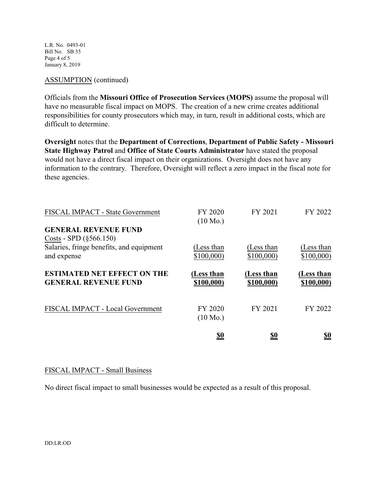L.R. No. 0493-01 Bill No. SB 35 Page 4 of 5 January 8, 2019

### ASSUMPTION (continued)

Officials from the **Missouri Office of Prosecution Services (MOPS)** assume the proposal will have no measurable fiscal impact on MOPS. The creation of a new crime creates additional responsibilities for county prosecutors which may, in turn, result in additional costs, which are difficult to determine.

**Oversight** notes that the **Department of Corrections**, **Department of Public Safety - Missouri State Highway Patrol** and **Office of State Courts Administrator** have stated the proposal would not have a direct fiscal impact on their organizations. Oversight does not have any information to the contrary. Therefore, Oversight will reflect a zero impact in the fiscal note for these agencies.

| FISCAL IMPACT - State Government                                                                                     | FY 2020<br>$(10 \text{ Mo.})$ | FY 2021                  | FY 2022                  |
|----------------------------------------------------------------------------------------------------------------------|-------------------------------|--------------------------|--------------------------|
| <b>GENERAL REVENUE FUND</b><br>Costs - SPD $(\S 566.150)$<br>Salaries, fringe benefits, and equipment<br>and expense | (Less than<br>\$100,000       | (Less than<br>\$100,000  | (Less than<br>\$100,000  |
| <b>ESTIMATED NET EFFECT ON THE</b><br><b>GENERAL REVENUE FUND</b>                                                    | (Less than<br>\$100,000)      | (Less than<br>\$100,000) | (Less than<br>\$100,000) |
| FISCAL IMPACT - Local Government                                                                                     | FY 2020<br>$(10 \text{ Mo.})$ | FY 2021                  | FY 2022                  |
|                                                                                                                      | <u>\$0</u>                    | <u>\$0</u>               | <u>\$0</u>               |

### FISCAL IMPACT - Small Business

No direct fiscal impact to small businesses would be expected as a result of this proposal.